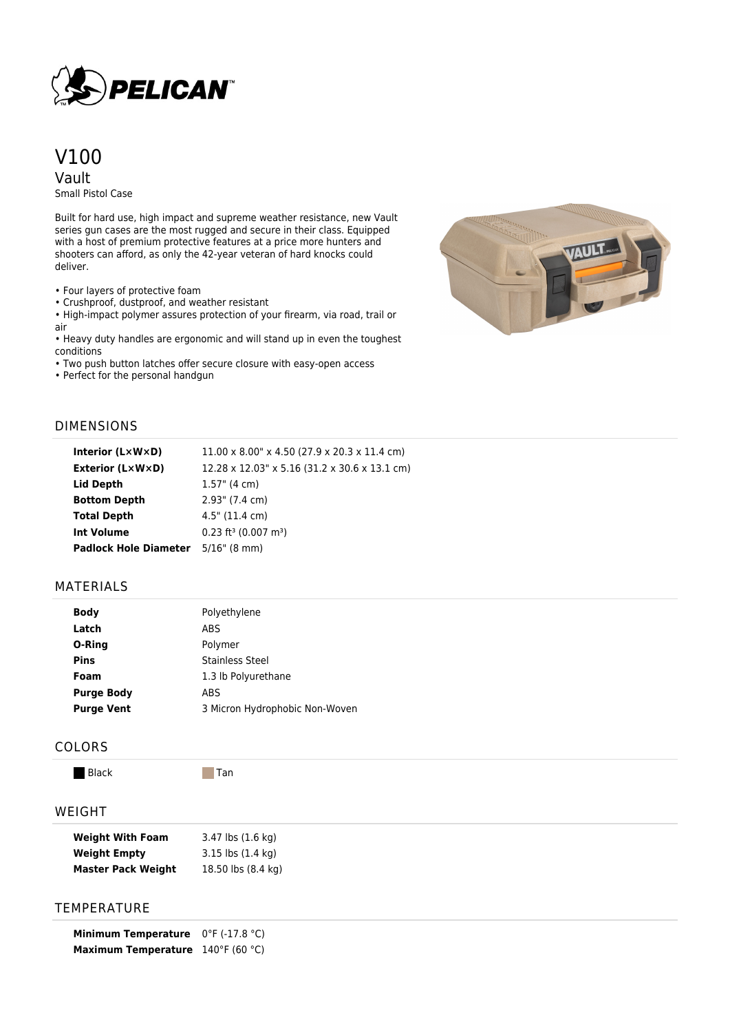

# V100 Vault

Small Pistol Case

Built for hard use, high impact and supreme weather resistance, new Vault series gun cases are the most rugged and secure in their class. Equipped with a host of premium protective features at a price more hunters and shooters can afford, as only the 42-year veteran of hard knocks could deliver.

• Four layers of protective foam

• Crushproof, dustproof, and weather resistant

• High-impact polymer assures protection of your firearm, via road, trail or air

• Heavy duty handles are ergonomic and will stand up in even the toughest conditions

• Two push button latches offer secure closure with easy-open access

• Perfect for the personal handgun



## DIMENSIONS

| Interior (LxWxD)                          | $11.00 \times 8.00$ " x 4.50 (27.9 x 20.3 x 11.4 cm) |  |
|-------------------------------------------|------------------------------------------------------|--|
| <b>Exterior (L×W×D)</b>                   | 12.28 x 12.03" x 5.16 (31.2 x 30.6 x 13.1 cm)        |  |
| Lid Depth                                 | $1.57$ " (4 cm)                                      |  |
| <b>Bottom Depth</b>                       | $2.93$ " (7.4 cm)                                    |  |
| <b>Total Depth</b>                        | $4.5"$ (11.4 cm)                                     |  |
| <b>Int Volume</b>                         | $0.23$ ft <sup>3</sup> (0.007 m <sup>3</sup> )       |  |
| <b>Padlock Hole Diameter</b> 5/16" (8 mm) |                                                      |  |

## MATERIALS

| <b>Body</b>       | Polyethylene                   |  |
|-------------------|--------------------------------|--|
| Latch             | ABS                            |  |
| O-Ring            | Polymer                        |  |
| <b>Pins</b>       | Stainless Steel                |  |
| Foam              | 1.3 lb Polyurethane            |  |
| <b>Purge Body</b> | ABS                            |  |
| <b>Purge Vent</b> | 3 Micron Hydrophobic Non-Woven |  |
|                   |                                |  |

#### COLORS

Black Tan

## WEIGHT

| <b>Weight With Foam</b>   | 3.47 lbs (1.6 kg)             |
|---------------------------|-------------------------------|
| <b>Weight Empty</b>       | $3.15$ lbs $(1.4 \text{ kg})$ |
| <b>Master Pack Weight</b> | 18.50 lbs (8.4 kg)            |

# **TEMPERATURE**

**Minimum Temperature** 0°F (-17.8 °C) **Maximum Temperature** 140°F (60 °C)